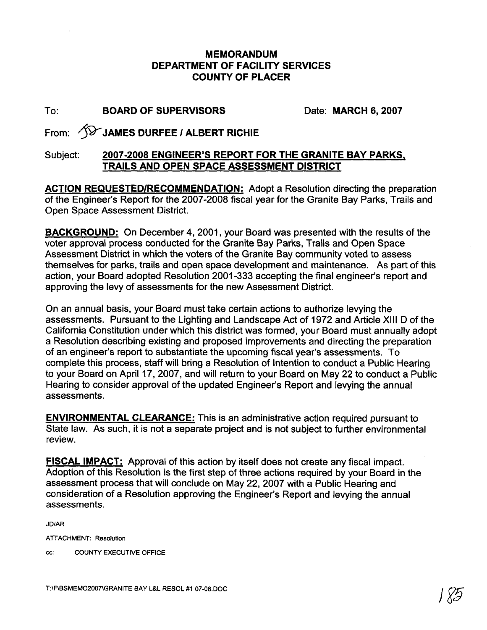## **MEMORANDUM DEPARTMENT OF FACILITY SERVICES COUNTY OF PLACER**

## To: **BOARD OF SUPERVISORS** Date: **MARCH 6,2007**

From: **@JAMES DURFEE** I **ALBERT RlCHlE** 

## Subject: **2007-2008 ENGINEER'S REPORT FOR THE GRANITE BAY PARKS, TRAILS AND OPEN SPACE ASSESSMENT DISTRICT**

**ACTION REQUESTEDIRECOMMENDATION:** Adopt a Resolution directing the preparation of the Engineer's Report for the 2007-2008 fiscal year for the Granite Bay Parks, Trails and Open Space Assessment District.

**BACKGROUND:** On December 4, 2001, your Board was presented with the results of the voter approval process conducted for the Granite Bay Parks, Trails and Open Space Assessment District in which the voters of the Granite Bay community voted to assess themselves for parks, trails and open space development and maintenance. As part of this action, your Board adopted Resolution 2001-333 accepting the final engineer's report and approving the levy of assessments for the new Assessment District.

On an annual basis, your Board must take certain actions to authorize levying the assessments. Pursuant to the Lighting and Landscape Act of 1972 and Article Xlll D of the California Constitution under which this district was formed, your Board must annually adopt a Resolution describing existing and proposed improvements and directing the preparation of an engineer's report to substantiate the upcoming fiscal year's assessments. To complete this process, staff will bring a Resolution of Intention to conduct a Public Hearing to your Board on April 17, 2007, and will return to your Board on May 22 to conduct a Public Hearing to consider approval of the updated Engineer's Report and levying the annual assessments.

**ENVIRONMENTAL CLEARANCE:** This is an administrative action required pursuant to State law. As such, it is not a separate project and is not subject to further environmental review.

**FISCAL IMPACT:** Approval of this action by itself does not create any fiscal impact. Adoption of this Resolution is the first step of three actions required by your Board in the assessment process that will conclude on May 22,2007 with a Public Hearing and consideration of a Resolution approving the Engineer's Report and levying the annual assessments.

JD/AR

ATTACHMENT: Resolution

cc: COUNTY EXECUTIVE OFFICE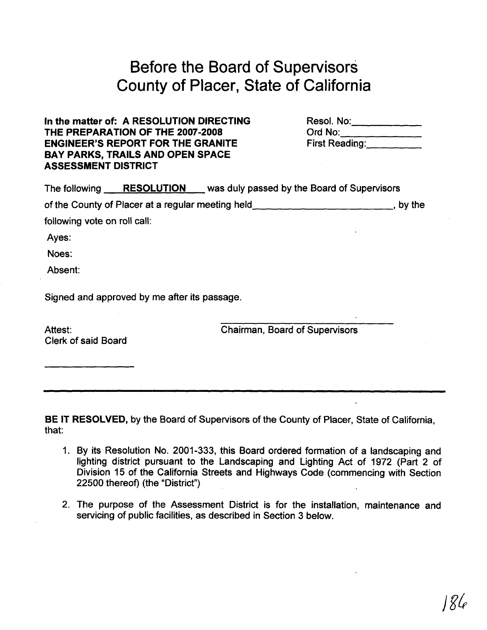## Before the Board of Supervisors County of Placer, State of California

**In the matter of: A RESOLUTION DIRECTING** Resol. No: Resol. Resole Resol. No: Resole Resole Resole Resole Resole<br>
THE PREPARATION OF THE 2007-2008 Crd No: Resole Resole Resolution Crd No: THE PREPARATION OF THE 2007-2008 **Detail of Ord No:**<br>
ENGINEER'S REPORT FOR THE GRANITE **First Reading**: **ENGINEER'S REPORT FOR THE GRANITE BAY PARKS, TRAILS AND OPEN SPACE ASSESSMENT DISTRICT** 

|                              |                                              | The following RESOLUTION was duly passed by the Board of Supervisors |        |
|------------------------------|----------------------------------------------|----------------------------------------------------------------------|--------|
|                              |                                              | of the County of Placer at a regular meeting held _____              | by the |
| following vote on roll call: |                                              |                                                                      |        |
| Ayes:                        |                                              |                                                                      |        |
| Noes:                        |                                              |                                                                      |        |
| Absent:                      |                                              |                                                                      |        |
|                              | Signed and approved by me after its passage. |                                                                      |        |

Clerk of said Board

Attest: Chairman, Board of Supervisors

**BE IT RESOLVED,** by the Board of Supervisors of the County of Placer, State of California, that:

- 1. By its Resolution No. 2001-333, this Board ordered formation of a landscaping and lighting district pursuant to the Landscaping and Lighting Act of 1972 (Part 2 of Division 15 of the California Streets and Highways Code (commencing with Section 22500 thereof) (the "District")
- 2. The purpose of the Assessment District is for the installation, maintenance and servicing of public facilities, as described in Section 3 below.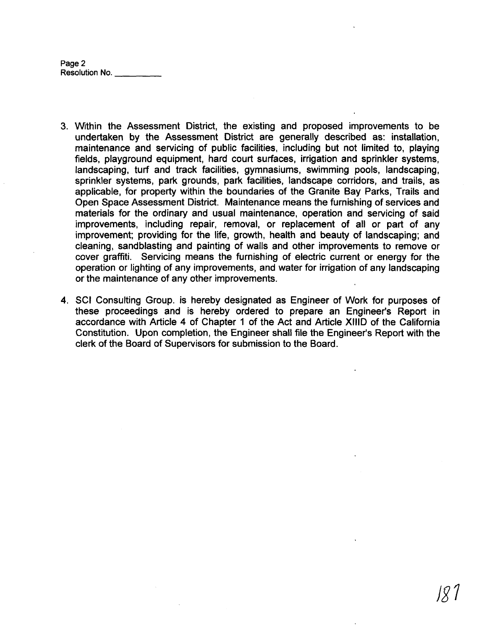**Page 2 Resolution** No.

- 3. Within the Assessment District, the existing and proposed improvements to be undertaken by the Assessment District are generally described as: installation, maintenance and servicing of public facilities, including but not limited to, playing fields, playground equipment, hard court surfaces, irrigation and sprinkler systems, landscaping, turf and track facilities, gymnasiums, swimming pools, landscaping, sprinkler systems, park grounds, park facilities, landscape corridors, and trails, as applicable, for property within the boundaries of the Granite Bay Parks, Trails and Open Space Assessment District. Maintenance means the furnishing of services and materials for the ordinary and usual maintenance, operation and servicing of said improvements, including repair, removal, or replacement of all or part of any improvement; providing for the life, growth, health and beauty of landscaping; and cleaning, sandblasting and painting of walls and other improvements to remove or cover graffiti. Servicing means the furnishing of electric current or energy for the operation or lighting of any improvements, and water for irrigation of any landscaping or the maintenance of any other improvements.
- 4. SCI Consulting Group. is hereby designated as Engineer of Work for purposes of these proceedings and is hereby ordered to prepare an Engineer's Report in accordance with Article 4 of Chapter 1 of the Act and Article XlllD of the California Constitution. Upon completion, the Engineer shall file the Engineer's Report with the clerk of the Board of Supervisors for submission to the Board.